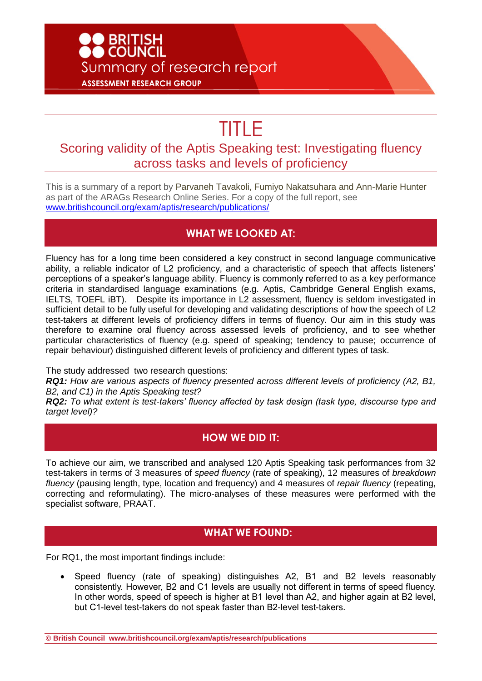# ● BRITISH<br>● COUNCIL Summary of research report **ASSESSMENT RESEARCH GROUP**

# TITLE

## Scoring validity of the Aptis Speaking test: Investigating fluency across tasks and levels of proficiency

This is a summary of a report by Parvaneh Tavakoli, Fumiyo Nakatsuhara and Ann-Marie Hunter as part of the ARAGs Research Online Series. For a copy of the full report, see [www.britishcouncil.org/exam/aptis/research/publications/](http://www.britishcouncil.org/exam/aptis/research/publications/)

#### **WHAT WE LOOKED AT:**

Fluency has for a long time been considered a key construct in second language communicative ability, a reliable indicator of L2 proficiency, and a characteristic of speech that affects listeners' perceptions of a speaker's language ability. Fluency is commonly referred to as a key performance criteria in standardised language examinations (e.g. Aptis, Cambridge General English exams, IELTS, TOEFL iBT). Despite its importance in L2 assessment, fluency is seldom investigated in sufficient detail to be fully useful for developing and validating descriptions of how the speech of L2 test-takers at different levels of proficiency differs in terms of fluency. Our aim in this study was therefore to examine oral fluency across assessed levels of proficiency, and to see whether particular characteristics of fluency (e.g. speed of speaking; tendency to pause; occurrence of repair behaviour) distinguished different levels of proficiency and different types of task.

The study addressed two research questions:

*RQ1: How are various aspects of fluency presented across different levels of proficiency (A2, B1, B2, and C1) in the Aptis Speaking test?* 

*RQ2: To what extent is test-takers' fluency affected by task design (task type, discourse type and target level)?* 

#### **HOW WE DID IT:**

To achieve our aim, we transcribed and analysed 120 Aptis Speaking task performances from 32 test-takers in terms of 3 measures of *speed fluency* (rate of speaking), 12 measures of *breakdown fluency* (pausing length, type, location and frequency) and 4 measures of *repair fluency* (repeating, correcting and reformulating). The micro-analyses of these measures were performed with the specialist software, PRAAT.

#### **WHAT WE FOUND:**

For RQ1, the most important findings include:

 Speed fluency (rate of speaking) distinguishes A2, B1 and B2 levels reasonably consistently. However, B2 and C1 levels are usually not different in terms of speed fluency. In other words, speed of speech is higher at B1 level than A2, and higher again at B2 level, but C1-level test-takers do not speak faster than B2-level test-takers.